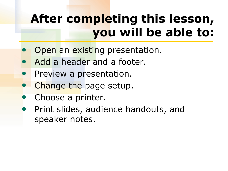# **After completing this lesson, you will be able to:**

- **Open an existing presentation.**
- Add a header and a footer.
- Preview a presentation.
- Change the page setup.
- Choose a printer.
- Print slides, audience handouts, and speaker notes.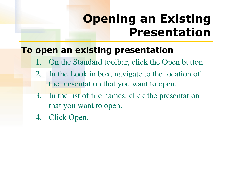## **Opening an Existing Presentation**

#### **To open an existing presentation**

- 1. On the Standard toolbar, click the Open button.
- 2. In the Look in box, navigate to the location of the presentation that you want to open.
- 3. In the list of file names, click the presentation that you want to open.
- 4. Click Open.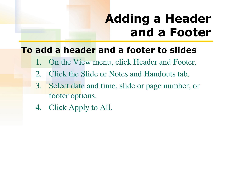# **Adding a Header and a Footer**

### **To add a header and a footer to slides**

- 1. On the View menu, click Header and Footer.
- 2. Click the Slide or Notes and Handouts tab.
- 3. Select date and time, slide or page number, or footer options.
- 4. Click Apply to All.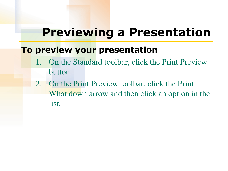### **Previewing a Presentation**

#### **To preview your presentation**

- 1. On the Standard toolbar, click the Print Preview button.
- 2. On the Print Preview toolbar, click the Print What down arrow and then click an option in the list.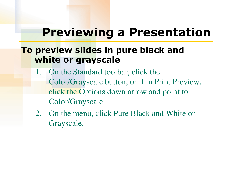### **Previewing a Presentation**

#### **To preview slides in pure black and white or grayscale**

- 1. On the Standard toolbar, click the Color/Grayscale button, or if in Print Preview, click the Options down arrow and point to Color/Grayscale.
- 2. On the menu, click Pure Black and White or Grayscale.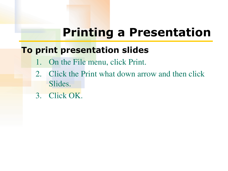## **Printing a Presentation**

### **To print presentation slides**

- 1. On the File menu, click Print.
- 2. Click the Print what down arrow and then click Slides.
- 3. Click OK.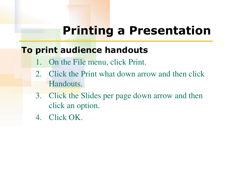## **Printing a Presentation**

### **To print audience handouts**

- 1. On the File menu, click Print.
- 2. Click the Print what down arrow and then click Handouts.
- 3. Click the Slides per page down arrow and then click an option.
- 4. Click OK.